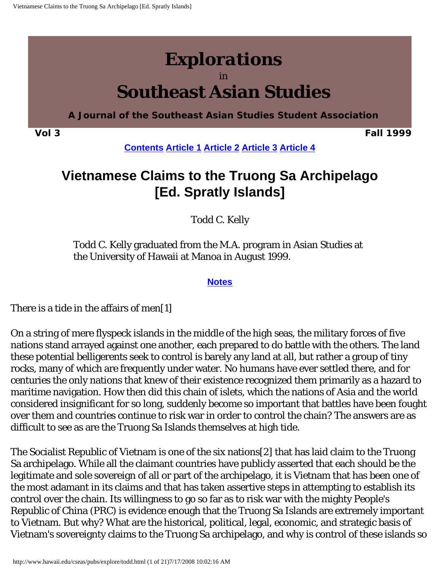# <span id="page-0-0"></span>*Explorations* in **Southeast Asian Studies**

**A Journal of the Southeast Asian Studies Student Association**

**Vol 3 Fall 1999**

**[Contents](http://www.hawaii.edu/cseas/pubs/explore/contents3.html) [Article 1](http://www.hawaii.edu/cseas/pubs/explore/akiko.html) [Article 2](http://www.hawaii.edu/cseas/pubs/explore/eric.html) [Article 3](http://www.hawaii.edu/cseas/pubs/explore/robin.html) [Article 4](#page-0-0)**

# **Vietnamese Claims to the Truong Sa Archipelago [Ed. Spratly Islands]**

Todd C. Kelly

Todd C. Kelly graduated from the M.A. program in Asian Studies at the University of Hawaii at Manoa in August 1999.

#### **[Notes](#page-14-0)**

There is a tide in the affairs of men[1]

On a string of mere flyspeck islands in the middle of the high seas, the military forces of five nations stand arrayed against one another, each prepared to do battle with the others. The land these potential belligerents seek to control is barely any land at all, but rather a group of tiny rocks, many of which are frequently under water. No humans have ever settled there, and for centuries the only nations that knew of their existence recognized them primarily as a hazard to maritime navigation. How then did this chain of islets, which the nations of Asia and the world considered insignificant for so long, suddenly become so important that battles have been fought over them and countries continue to risk war in order to control the chain? The answers are as difficult to see as are the Truong Sa Islands themselves at high tide.

The Socialist Republic of Vietnam is one of the six nations[2] that has laid claim to the Truong Sa archipelago. While all the claimant countries have publicly asserted that each should be the legitimate and sole sovereign of all or part of the archipelago, it is Vietnam that has been one of the most adamant in its claims and that has taken assertive steps in attempting to establish its control over the chain. Its willingness to go so far as to risk war with the mighty People's Republic of China (PRC) is evidence enough that the Truong Sa Islands are extremely important to Vietnam. But why? What are the historical, political, legal, economic, and strategic basis of Vietnam's sovereignty claims to the Truong Sa archipelago, and why is control of these islands so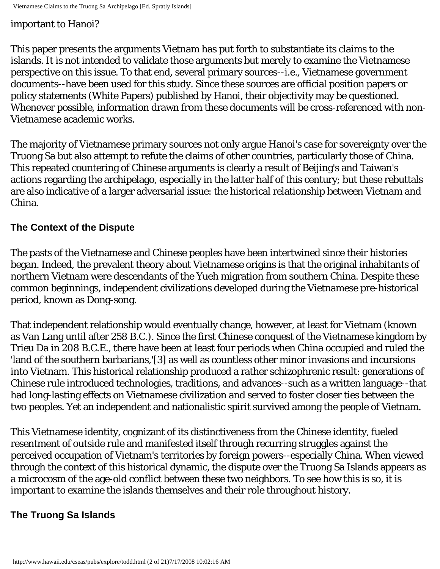#### important to Hanoi?

This paper presents the arguments Vietnam has put forth to substantiate its claims to the islands. It is not intended to validate those arguments but merely to examine the Vietnamese perspective on this issue. To that end, several primary sources--i.e., Vietnamese government documents--have been used for this study. Since these sources are official position papers or policy statements (White Papers) published by Hanoi, their objectivity may be questioned. Whenever possible, information drawn from these documents will be cross-referenced with non-Vietnamese academic works.

The majority of Vietnamese primary sources not only argue Hanoi's case for sovereignty over the Truong Sa but also attempt to refute the claims of other countries, particularly those of China. This repeated countering of Chinese arguments is clearly a result of Beijing's and Taiwan's actions regarding the archipelago, especially in the latter half of this century; but these rebuttals are also indicative of a larger adversarial issue: the historical relationship between Vietnam and China.

#### **The Context of the Dispute**

The pasts of the Vietnamese and Chinese peoples have been intertwined since their histories began. Indeed, the prevalent theory about Vietnamese origins is that the original inhabitants of northern Vietnam were descendants of the Yueh migration from southern China. Despite these common beginnings, independent civilizations developed during the Vietnamese pre-historical period, known as Dong-song.

That independent relationship would eventually change, however, at least for Vietnam (known as Van Lang until after 258 B.C.). Since the first Chinese conquest of the Vietnamese kingdom by Trieu Da in 208 B.C.E., there have been at least four periods when China occupied and ruled the 'land of the southern barbarians,'[3] as well as countless other minor invasions and incursions into Vietnam. This historical relationship produced a rather schizophrenic result: generations of Chinese rule introduced technologies, traditions, and advances--such as a written language--that had long-lasting effects on Vietnamese civilization and served to foster closer ties between the two peoples. Yet an independent and nationalistic spirit survived among the people of Vietnam.

This Vietnamese identity, cognizant of its distinctiveness from the Chinese identity, fueled resentment of outside rule and manifested itself through recurring struggles against the perceived occupation of Vietnam's territories by foreign powers--especially China. When viewed through the context of this historical dynamic, the dispute over the Truong Sa Islands appears as a microcosm of the age-old conflict between these two neighbors. To see how this is so, it is important to examine the islands themselves and their role throughout history.

#### **The Truong Sa Islands**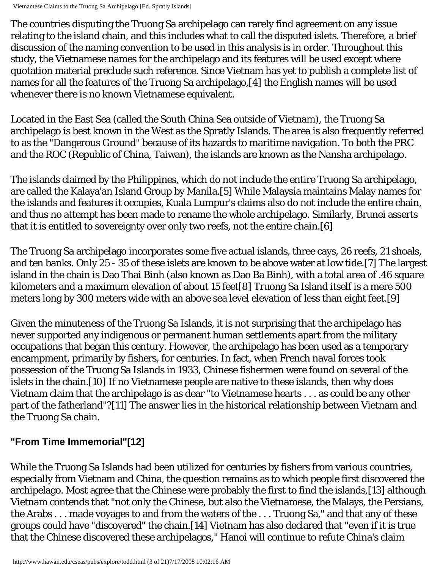Vietnamese Claims to the Truong Sa Archipelago [Ed. Spratly Islands]

The countries disputing the Truong Sa archipelago can rarely find agreement on any issue relating to the island chain, and this includes what to call the disputed islets. Therefore, a brief discussion of the naming convention to be used in this analysis is in order. Throughout this study, the Vietnamese names for the archipelago and its features will be used except where quotation material preclude such reference. Since Vietnam has yet to publish a complete list of names for all the features of the Truong Sa archipelago,[4] the English names will be used whenever there is no known Vietnamese equivalent.

Located in the East Sea (called the South China Sea outside of Vietnam), the Truong Sa archipelago is best known in the West as the Spratly Islands. The area is also frequently referred to as the "Dangerous Ground" because of its hazards to maritime navigation. To both the PRC and the ROC (Republic of China, Taiwan), the islands are known as the Nansha archipelago.

The islands claimed by the Philippines, which do not include the entire Truong Sa archipelago, are called the Kalaya'an Island Group by Manila.[5] While Malaysia maintains Malay names for the islands and features it occupies, Kuala Lumpur's claims also do not include the entire chain, and thus no attempt has been made to rename the whole archipelago. Similarly, Brunei asserts that it is entitled to sovereignty over only two reefs, not the entire chain.[6]

The Truong Sa archipelago incorporates some five actual islands, three cays, 26 reefs, 21 shoals, and ten banks. Only 25 - 35 of these islets are known to be above water at low tide.[7] The largest island in the chain is Dao Thai Binh (also known as Dao Ba Binh), with a total area of .46 square kilometers and a maximum elevation of about 15 feet[8] Truong Sa Island itself is a mere 500 meters long by 300 meters wide with an above sea level elevation of less than eight feet.[9]

Given the minuteness of the Truong Sa Islands, it is not surprising that the archipelago has never supported any indigenous or permanent human settlements apart from the military occupations that began this century. However, the archipelago has been used as a temporary encampment, primarily by fishers, for centuries. In fact, when French naval forces took possession of the Truong Sa Islands in 1933, Chinese fishermen were found on several of the islets in the chain.[10] If no Vietnamese people are native to these islands, then why does Vietnam claim that the archipelago is as dear "to Vietnamese hearts . . . as could be any other part of the fatherland"?[11] The answer lies in the historical relationship between Vietnam and the Truong Sa chain.

# **"From Time Immemorial"[12]**

While the Truong Sa Islands had been utilized for centuries by fishers from various countries, especially from Vietnam and China, the question remains as to which people first discovered the archipelago. Most agree that the Chinese were probably the first to find the islands,[13] although Vietnam contends that "not only the Chinese, but also the Vietnamese, the Malays, the Persians, the Arabs . . . made voyages to and from the waters of the . . . Truong Sa," and that any of these groups could have "discovered" the chain.[14] Vietnam has also declared that "even if it is true that the Chinese discovered these archipelagos," Hanoi will continue to refute China's claim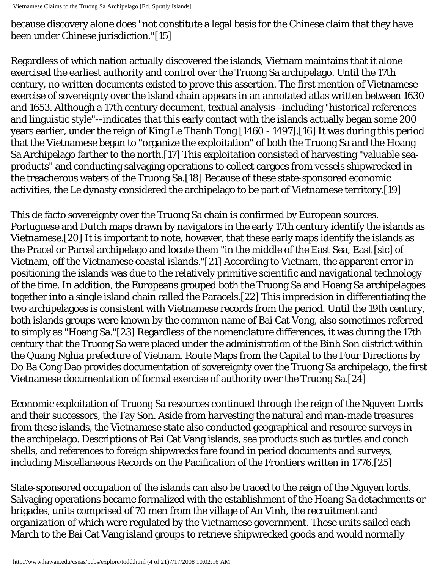Vietnamese Claims to the Truong Sa Archipelago [Ed. Spratly Islands]

because discovery alone does "not constitute a legal basis for the Chinese claim that they have been under Chinese jurisdiction."[15]

Regardless of which nation actually discovered the islands, Vietnam maintains that it alone exercised the earliest authority and control over the Truong Sa archipelago. Until the 17th century, no written documents existed to prove this assertion. The first mention of Vietnamese exercise of sovereignty over the island chain appears in an annotated atlas written between 1630 and 1653. Although a 17th century document, textual analysis--including "historical references and linguistic style"--indicates that this early contact with the islands actually began some 200 years earlier, under the reign of King Le Thanh Tong [1460 - 1497].[16] It was during this period that the Vietnamese began to "organize the exploitation" of both the Truong Sa and the Hoang Sa Archipelago farther to the north.[17] This exploitation consisted of harvesting "valuable seaproducts" and conducting salvaging operations to collect cargoes from vessels shipwrecked in the treacherous waters of the Truong Sa.[18] Because of these state-sponsored economic activities, the Le dynasty considered the archipelago to be part of Vietnamese territory.[19]

This de facto sovereignty over the Truong Sa chain is confirmed by European sources. Portuguese and Dutch maps drawn by navigators in the early 17th century identify the islands as Vietnamese.[20] It is important to note, however, that these early maps identify the islands as the Pracel or Parcel archipelago and locate them "in the middle of the East Sea, East [sic] of Vietnam, off the Vietnamese coastal islands."[21] According to Vietnam, the apparent error in positioning the islands was due to the relatively primitive scientific and navigational technology of the time. In addition, the Europeans grouped both the Truong Sa and Hoang Sa archipelagoes together into a single island chain called the Paracels.[22] This imprecision in differentiating the two archipelagoes is consistent with Vietnamese records from the period. Until the 19th century, both islands groups were known by the common name of Bai Cat Vong, also sometimes referred to simply as "Hoang Sa."[23] Regardless of the nomenclature differences, it was during the 17th century that the Truong Sa were placed under the administration of the Binh Son district within the Quang Nghia prefecture of Vietnam. Route Maps from the Capital to the Four Directions by Do Ba Cong Dao provides documentation of sovereignty over the Truong Sa archipelago, the first Vietnamese documentation of formal exercise of authority over the Truong Sa.[24]

Economic exploitation of Truong Sa resources continued through the reign of the Nguyen Lords and their successors, the Tay Son. Aside from harvesting the natural and man-made treasures from these islands, the Vietnamese state also conducted geographical and resource surveys in the archipelago. Descriptions of Bai Cat Vang islands, sea products such as turtles and conch shells, and references to foreign shipwrecks fare found in period documents and surveys, including Miscellaneous Records on the Pacification of the Frontiers written in 1776.[25]

State-sponsored occupation of the islands can also be traced to the reign of the Nguyen lords. Salvaging operations became formalized with the establishment of the Hoang Sa detachments or brigades, units comprised of 70 men from the village of An Vinh, the recruitment and organization of which were regulated by the Vietnamese government. These units sailed each March to the Bai Cat Vang island groups to retrieve shipwrecked goods and would normally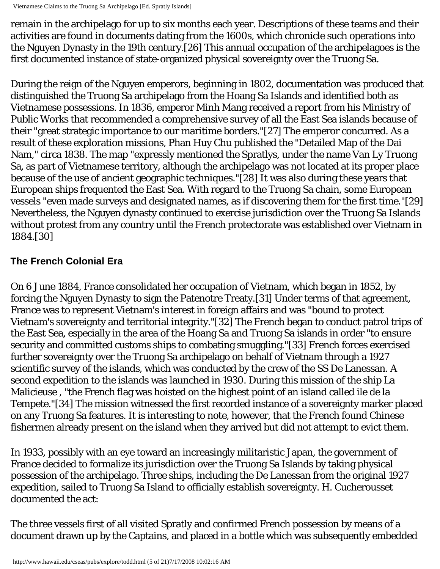Vietnamese Claims to the Truong Sa Archipelago [Ed. Spratly Islands]

remain in the archipelago for up to six months each year. Descriptions of these teams and their activities are found in documents dating from the 1600s, which chronicle such operations into the Nguyen Dynasty in the 19th century.[26] This annual occupation of the archipelagoes is the first documented instance of state-organized physical sovereignty over the Truong Sa.

During the reign of the Nguyen emperors, beginning in 1802, documentation was produced that distinguished the Truong Sa archipelago from the Hoang Sa Islands and identified both as Vietnamese possessions. In 1836, emperor Minh Mang received a report from his Ministry of Public Works that recommended a comprehensive survey of all the East Sea islands because of their "great strategic importance to our maritime borders."[27] The emperor concurred. As a result of these exploration missions, Phan Huy Chu published the "Detailed Map of the Dai Nam," circa 1838. The map "expressly mentioned the Spratlys, under the name Van Ly Truong Sa, as part of Vietnamese territory, although the archipelago was not located at its proper place because of the use of ancient geographic techniques."[28] It was also during these years that European ships frequented the East Sea. With regard to the Truong Sa chain, some European vessels "even made surveys and designated names, as if discovering them for the first time."[29] Nevertheless, the Nguyen dynasty continued to exercise jurisdiction over the Truong Sa Islands without protest from any country until the French protectorate was established over Vietnam in 1884.[30]

# **The French Colonial Era**

On 6 June 1884, France consolidated her occupation of Vietnam, which began in 1852, by forcing the Nguyen Dynasty to sign the Patenotre Treaty.[31] Under terms of that agreement, France was to represent Vietnam's interest in foreign affairs and was "bound to protect Vietnam's sovereignty and territorial integrity."[32] The French began to conduct patrol trips of the East Sea, especially in the area of the Hoang Sa and Truong Sa islands in order "to ensure security and committed customs ships to combating smuggling."[33] French forces exercised further sovereignty over the Truong Sa archipelago on behalf of Vietnam through a 1927 scientific survey of the islands, which was conducted by the crew of the SS De Lanessan. A second expedition to the islands was launched in 1930. During this mission of the ship La Malicieuse , "the French flag was hoisted on the highest point of an island called ile de la Tempete."[34] The mission witnessed the first recorded instance of a sovereignty marker placed on any Truong Sa features. It is interesting to note, however, that the French found Chinese fishermen already present on the island when they arrived but did not attempt to evict them.

In 1933, possibly with an eye toward an increasingly militaristic Japan, the government of France decided to formalize its jurisdiction over the Truong Sa Islands by taking physical possession of the archipelago. Three ships, including the De Lanessan from the original 1927 expedition, sailed to Truong Sa Island to officially establish sovereignty. H. Cucherousset documented the act:

The three vessels first of all visited Spratly and confirmed French possession by means of a document drawn up by the Captains, and placed in a bottle which was subsequently embedded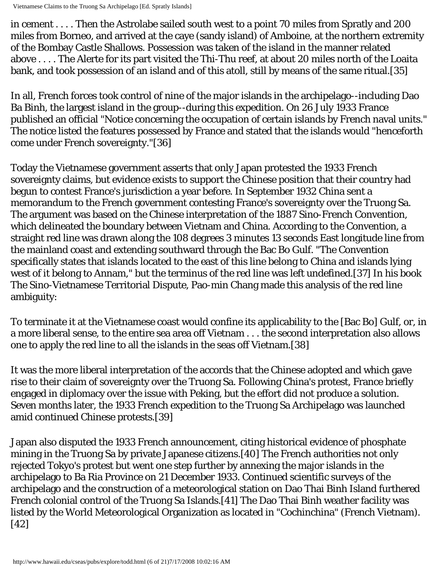Vietnamese Claims to the Truong Sa Archipelago [Ed. Spratly Islands]

in cement . . . . Then the Astrolabe sailed south west to a point 70 miles from Spratly and 200 miles from Borneo, and arrived at the caye (sandy island) of Amboine, at the northern extremity of the Bombay Castle Shallows. Possession was taken of the island in the manner related above . . . . The Alerte for its part visited the Thi-Thu reef, at about 20 miles north of the Loaita bank, and took possession of an island and of this atoll, still by means of the same ritual.[35]

In all, French forces took control of nine of the major islands in the archipelago--including Dao Ba Binh, the largest island in the group--during this expedition. On 26 July 1933 France published an official "Notice concerning the occupation of certain islands by French naval units." The notice listed the features possessed by France and stated that the islands would "henceforth come under French sovereignty."[36]

Today the Vietnamese government asserts that only Japan protested the 1933 French sovereignty claims, but evidence exists to support the Chinese position that their country had begun to contest France's jurisdiction a year before. In September 1932 China sent a memorandum to the French government contesting France's sovereignty over the Truong Sa. The argument was based on the Chinese interpretation of the 1887 Sino-French Convention, which delineated the boundary between Vietnam and China. According to the Convention, a straight red line was drawn along the 108 degrees 3 minutes 13 seconds East longitude line from the mainland coast and extending southward through the Bac Bo Gulf. "The Convention specifically states that islands located to the east of this line belong to China and islands lying west of it belong to Annam," but the terminus of the red line was left undefined.[37] In his book The Sino-Vietnamese Territorial Dispute, Pao-min Chang made this analysis of the red line ambiguity:

To terminate it at the Vietnamese coast would confine its applicability to the [Bac Bo] Gulf, or, in a more liberal sense, to the entire sea area off Vietnam . . . the second interpretation also allows one to apply the red line to all the islands in the seas off Vietnam.[38]

It was the more liberal interpretation of the accords that the Chinese adopted and which gave rise to their claim of sovereignty over the Truong Sa. Following China's protest, France briefly engaged in diplomacy over the issue with Peking, but the effort did not produce a solution. Seven months later, the 1933 French expedition to the Truong Sa Archipelago was launched amid continued Chinese protests.[39]

Japan also disputed the 1933 French announcement, citing historical evidence of phosphate mining in the Truong Sa by private Japanese citizens.[40] The French authorities not only rejected Tokyo's protest but went one step further by annexing the major islands in the archipelago to Ba Ria Province on 21 December 1933. Continued scientific surveys of the archipelago and the construction of a meteorological station on Dao Thai Binh Island furthered French colonial control of the Truong Sa Islands.[41] The Dao Thai Binh weather facility was listed by the World Meteorological Organization as located in "Cochinchina" (French Vietnam). [42]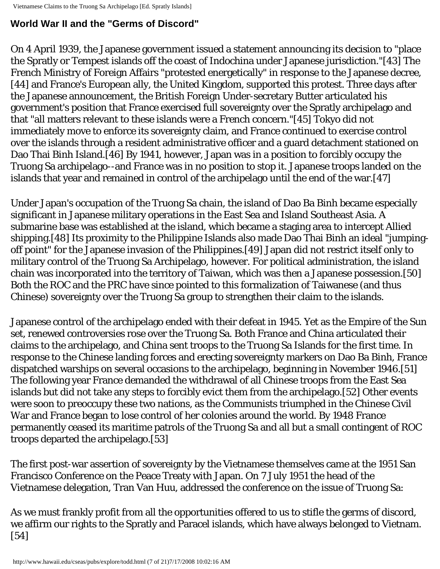### **World War II and the "Germs of Discord"**

On 4 April 1939, the Japanese government issued a statement announcing its decision to "place the Spratly or Tempest islands off the coast of Indochina under Japanese jurisdiction."[43] The French Ministry of Foreign Affairs "protested energetically" in response to the Japanese decree, [44] and France's European ally, the United Kingdom, supported this protest. Three days after the Japanese announcement, the British Foreign Under-secretary Butter articulated his government's position that France exercised full sovereignty over the Spratly archipelago and that "all matters relevant to these islands were a French concern."[45] Tokyo did not immediately move to enforce its sovereignty claim, and France continued to exercise control over the islands through a resident administrative officer and a guard detachment stationed on Dao Thai Binh Island.[46] By 1941, however, Japan was in a position to forcibly occupy the Truong Sa archipelago--and France was in no position to stop it. Japanese troops landed on the islands that year and remained in control of the archipelago until the end of the war.[47]

Under Japan's occupation of the Truong Sa chain, the island of Dao Ba Binh became especially significant in Japanese military operations in the East Sea and Island Southeast Asia. A submarine base was established at the island, which became a staging area to intercept Allied shipping.[48] Its proximity to the Philippine Islands also made Dao Thai Binh an ideal "jumpingoff point" for the Japanese invasion of the Philippines.[49] Japan did not restrict itself only to military control of the Truong Sa Archipelago, however. For political administration, the island chain was incorporated into the territory of Taiwan, which was then a Japanese possession.[50] Both the ROC and the PRC have since pointed to this formalization of Taiwanese (and thus Chinese) sovereignty over the Truong Sa group to strengthen their claim to the islands.

Japanese control of the archipelago ended with their defeat in 1945. Yet as the Empire of the Sun set, renewed controversies rose over the Truong Sa. Both France and China articulated their claims to the archipelago, and China sent troops to the Truong Sa Islands for the first time. In response to the Chinese landing forces and erecting sovereignty markers on Dao Ba Binh, France dispatched warships on several occasions to the archipelago, beginning in November 1946.[51] The following year France demanded the withdrawal of all Chinese troops from the East Sea islands but did not take any steps to forcibly evict them from the archipelago.[52] Other events were soon to preoccupy these two nations, as the Communists triumphed in the Chinese Civil War and France began to lose control of her colonies around the world. By 1948 France permanently ceased its maritime patrols of the Truong Sa and all but a small contingent of ROC troops departed the archipelago.[53]

The first post-war assertion of sovereignty by the Vietnamese themselves came at the 1951 San Francisco Conference on the Peace Treaty with Japan. On 7 July 1951 the head of the Vietnamese delegation, Tran Van Huu, addressed the conference on the issue of Truong Sa:

As we must frankly profit from all the opportunities offered to us to stifle the germs of discord, we affirm our rights to the Spratly and Paracel islands, which have always belonged to Vietnam. [54]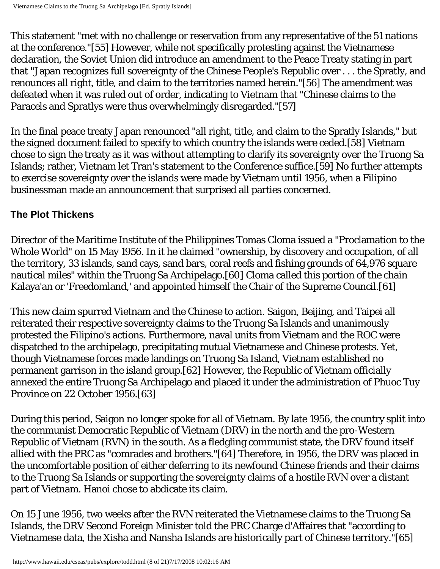This statement "met with no challenge or reservation from any representative of the 51 nations at the conference."[55] However, while not specifically protesting against the Vietnamese declaration, the Soviet Union did introduce an amendment to the Peace Treaty stating in part that "Japan recognizes full sovereignty of the Chinese People's Republic over . . . the Spratly, and renounces all right, title, and claim to the territories named herein."[56] The amendment was defeated when it was ruled out of order, indicating to Vietnam that "Chinese claims to the Paracels and Spratlys were thus overwhelmingly disregarded."[57]

In the final peace treaty Japan renounced "all right, title, and claim to the Spratly Islands," but the signed document failed to specify to which country the islands were ceded.[58] Vietnam chose to sign the treaty as it was without attempting to clarify its sovereignty over the Truong Sa Islands; rather, Vietnam let Tran's statement to the Conference suffice.[59] No further attempts to exercise sovereignty over the islands were made by Vietnam until 1956, when a Filipino businessman made an announcement that surprised all parties concerned.

#### **The Plot Thickens**

Director of the Maritime Institute of the Philippines Tomas Cloma issued a "Proclamation to the Whole World" on 15 May 1956. In it he claimed "ownership, by discovery and occupation, of all the territory, 33 islands, sand cays, sand bars, coral reefs and fishing grounds of 64,976 square nautical miles" within the Truong Sa Archipelago.[60] Cloma called this portion of the chain Kalaya'an or 'Freedomland,' and appointed himself the Chair of the Supreme Council.[61]

This new claim spurred Vietnam and the Chinese to action. Saigon, Beijing, and Taipei all reiterated their respective sovereignty claims to the Truong Sa Islands and unanimously protested the Filipino's actions. Furthermore, naval units from Vietnam and the ROC were dispatched to the archipelago, precipitating mutual Vietnamese and Chinese protests. Yet, though Vietnamese forces made landings on Truong Sa Island, Vietnam established no permanent garrison in the island group.[62] However, the Republic of Vietnam officially annexed the entire Truong Sa Archipelago and placed it under the administration of Phuoc Tuy Province on 22 October 1956.[63]

During this period, Saigon no longer spoke for all of Vietnam. By late 1956, the country split into the communist Democratic Republic of Vietnam (DRV) in the north and the pro-Western Republic of Vietnam (RVN) in the south. As a fledgling communist state, the DRV found itself allied with the PRC as "comrades and brothers."[64] Therefore, in 1956, the DRV was placed in the uncomfortable position of either deferring to its newfound Chinese friends and their claims to the Truong Sa Islands or supporting the sovereignty claims of a hostile RVN over a distant part of Vietnam. Hanoi chose to abdicate its claim.

On 15 June 1956, two weeks after the RVN reiterated the Vietnamese claims to the Truong Sa Islands, the DRV Second Foreign Minister told the PRC Charge d'Affaires that "according to Vietnamese data, the Xisha and Nansha Islands are historically part of Chinese territory."[65]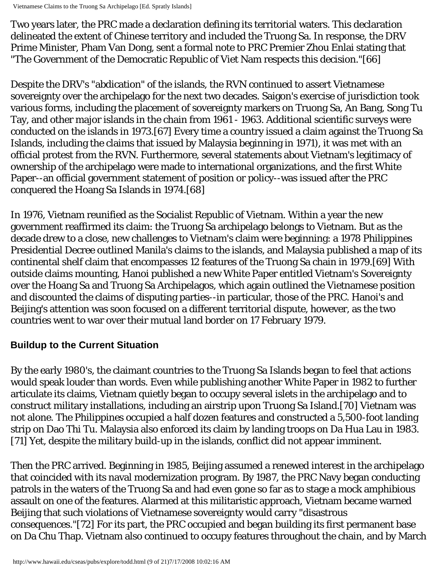Vietnamese Claims to the Truong Sa Archipelago [Ed. Spratly Islands]

Two years later, the PRC made a declaration defining its territorial waters. This declaration delineated the extent of Chinese territory and included the Truong Sa. In response, the DRV Prime Minister, Pham Van Dong, sent a formal note to PRC Premier Zhou Enlai stating that "The Government of the Democratic Republic of Viet Nam respects this decision."[66]

Despite the DRV's "abdication" of the islands, the RVN continued to assert Vietnamese sovereignty over the archipelago for the next two decades. Saigon's exercise of jurisdiction took various forms, including the placement of sovereignty markers on Truong Sa, An Bang, Song Tu Tay, and other major islands in the chain from 1961 - 1963. Additional scientific surveys were conducted on the islands in 1973.[67] Every time a country issued a claim against the Truong Sa Islands, including the claims that issued by Malaysia beginning in 1971), it was met with an official protest from the RVN. Furthermore, several statements about Vietnam's legitimacy of ownership of the archipelago were made to international organizations, and the first White Paper--an official government statement of position or policy--was issued after the PRC conquered the Hoang Sa Islands in 1974.[68]

In 1976, Vietnam reunified as the Socialist Republic of Vietnam. Within a year the new government reaffirmed its claim: the Truong Sa archipelago belongs to Vietnam. But as the decade drew to a close, new challenges to Vietnam's claim were beginning: a 1978 Philippines Presidential Decree outlined Manila's claims to the islands, and Malaysia published a map of its continental shelf claim that encompasses 12 features of the Truong Sa chain in 1979.[69] With outside claims mounting, Hanoi published a new White Paper entitled Vietnam's Sovereignty over the Hoang Sa and Truong Sa Archipelagos, which again outlined the Vietnamese position and discounted the claims of disputing parties--in particular, those of the PRC. Hanoi's and Beijing's attention was soon focused on a different territorial dispute, however, as the two countries went to war over their mutual land border on 17 February 1979.

### **Buildup to the Current Situation**

By the early 1980's, the claimant countries to the Truong Sa Islands began to feel that actions would speak louder than words. Even while publishing another White Paper in 1982 to further articulate its claims, Vietnam quietly began to occupy several islets in the archipelago and to construct military installations, including an airstrip upon Truong Sa Island.[70] Vietnam was not alone. The Philippines occupied a half dozen features and constructed a 5,500-foot landing strip on Dao Thi Tu. Malaysia also enforced its claim by landing troops on Da Hua Lau in 1983. [71] Yet, despite the military build-up in the islands, conflict did not appear imminent.

Then the PRC arrived. Beginning in 1985, Beijing assumed a renewed interest in the archipelago that coincided with its naval modernization program. By 1987, the PRC Navy began conducting patrols in the waters of the Truong Sa and had even gone so far as to stage a mock amphibious assault on one of the features. Alarmed at this militaristic approach, Vietnam became warned Beijing that such violations of Vietnamese sovereignty would carry "disastrous consequences."[72] For its part, the PRC occupied and began building its first permanent base on Da Chu Thap. Vietnam also continued to occupy features throughout the chain, and by March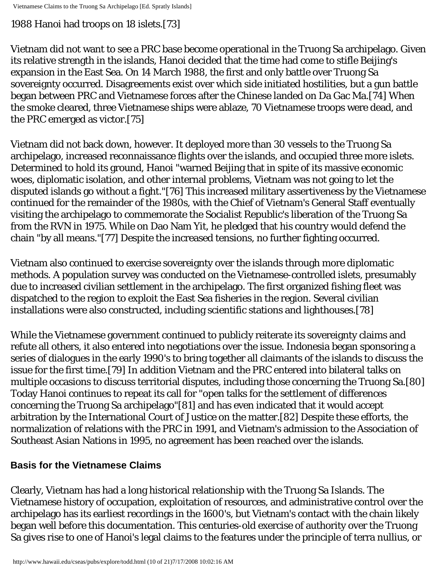### 1988 Hanoi had troops on 18 islets.[73]

Vietnam did not want to see a PRC base become operational in the Truong Sa archipelago. Given its relative strength in the islands, Hanoi decided that the time had come to stifle Beijing's expansion in the East Sea. On 14 March 1988, the first and only battle over Truong Sa sovereignty occurred. Disagreements exist over which side initiated hostilities, but a gun battle began between PRC and Vietnamese forces after the Chinese landed on Da Gac Ma.[74] When the smoke cleared, three Vietnamese ships were ablaze, 70 Vietnamese troops were dead, and the PRC emerged as victor.[75]

Vietnam did not back down, however. It deployed more than 30 vessels to the Truong Sa archipelago, increased reconnaissance flights over the islands, and occupied three more islets. Determined to hold its ground, Hanoi "warned Beijing that in spite of its massive economic woes, diplomatic isolation, and other internal problems, Vietnam was not going to let the disputed islands go without a fight."[76] This increased military assertiveness by the Vietnamese continued for the remainder of the 1980s, with the Chief of Vietnam's General Staff eventually visiting the archipelago to commemorate the Socialist Republic's liberation of the Truong Sa from the RVN in 1975. While on Dao Nam Yit, he pledged that his country would defend the chain "by all means."[77] Despite the increased tensions, no further fighting occurred.

Vietnam also continued to exercise sovereignty over the islands through more diplomatic methods. A population survey was conducted on the Vietnamese-controlled islets, presumably due to increased civilian settlement in the archipelago. The first organized fishing fleet was dispatched to the region to exploit the East Sea fisheries in the region. Several civilian installations were also constructed, including scientific stations and lighthouses.[78]

While the Vietnamese government continued to publicly reiterate its sovereignty claims and refute all others, it also entered into negotiations over the issue. Indonesia began sponsoring a series of dialogues in the early 1990's to bring together all claimants of the islands to discuss the issue for the first time.[79] In addition Vietnam and the PRC entered into bilateral talks on multiple occasions to discuss territorial disputes, including those concerning the Truong Sa.[80] Today Hanoi continues to repeat its call for "open talks for the settlement of differences concerning the Truong Sa archipelago"[81] and has even indicated that it would accept arbitration by the International Court of Justice on the matter.[82] Despite these efforts, the normalization of relations with the PRC in 1991, and Vietnam's admission to the Association of Southeast Asian Nations in 1995, no agreement has been reached over the islands.

# **Basis for the Vietnamese Claims**

Clearly, Vietnam has had a long historical relationship with the Truong Sa Islands. The Vietnamese history of occupation, exploitation of resources, and administrative control over the archipelago has its earliest recordings in the 1600's, but Vietnam's contact with the chain likely began well before this documentation. This centuries-old exercise of authority over the Truong Sa gives rise to one of Hanoi's legal claims to the features under the principle of terra nullius, or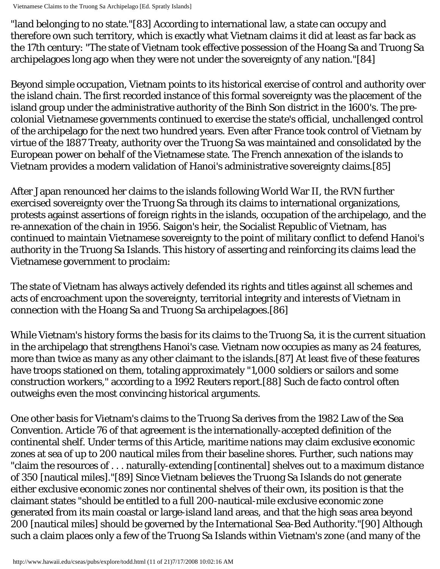Vietnamese Claims to the Truong Sa Archipelago [Ed. Spratly Islands]

"land belonging to no state."[83] According to international law, a state can occupy and therefore own such territory, which is exactly what Vietnam claims it did at least as far back as the 17th century: "The state of Vietnam took effective possession of the Hoang Sa and Truong Sa archipelagoes long ago when they were not under the sovereignty of any nation."[84]

Beyond simple occupation, Vietnam points to its historical exercise of control and authority over the island chain. The first recorded instance of this formal sovereignty was the placement of the island group under the administrative authority of the Binh Son district in the 1600's. The precolonial Vietnamese governments continued to exercise the state's official, unchallenged control of the archipelago for the next two hundred years. Even after France took control of Vietnam by virtue of the 1887 Treaty, authority over the Truong Sa was maintained and consolidated by the European power on behalf of the Vietnamese state. The French annexation of the islands to Vietnam provides a modern validation of Hanoi's administrative sovereignty claims.[85]

After Japan renounced her claims to the islands following World War II, the RVN further exercised sovereignty over the Truong Sa through its claims to international organizations, protests against assertions of foreign rights in the islands, occupation of the archipelago, and the re-annexation of the chain in 1956. Saigon's heir, the Socialist Republic of Vietnam, has continued to maintain Vietnamese sovereignty to the point of military conflict to defend Hanoi's authority in the Truong Sa Islands. This history of asserting and reinforcing its claims lead the Vietnamese government to proclaim:

The state of Vietnam has always actively defended its rights and titles against all schemes and acts of encroachment upon the sovereignty, territorial integrity and interests of Vietnam in connection with the Hoang Sa and Truong Sa archipelagoes.[86]

While Vietnam's history forms the basis for its claims to the Truong Sa, it is the current situation in the archipelago that strengthens Hanoi's case. Vietnam now occupies as many as 24 features, more than twice as many as any other claimant to the islands.[87] At least five of these features have troops stationed on them, totaling approximately "1,000 soldiers or sailors and some construction workers," according to a 1992 Reuters report.[88] Such de facto control often outweighs even the most convincing historical arguments.

One other basis for Vietnam's claims to the Truong Sa derives from the 1982 Law of the Sea Convention. Article 76 of that agreement is the internationally-accepted definition of the continental shelf. Under terms of this Article, maritime nations may claim exclusive economic zones at sea of up to 200 nautical miles from their baseline shores. Further, such nations may "claim the resources of . . . naturally-extending [continental] shelves out to a maximum distance of 350 [nautical miles]."[89] Since Vietnam believes the Truong Sa Islands do not generate either exclusive economic zones nor continental shelves of their own, its position is that the claimant states "should be entitled to a full 200-nautical-mile exclusive economic zone generated from its main coastal or large-island land areas, and that the high seas area beyond 200 [nautical miles] should be governed by the International Sea-Bed Authority."[90] Although such a claim places only a few of the Truong Sa Islands within Vietnam's zone (and many of the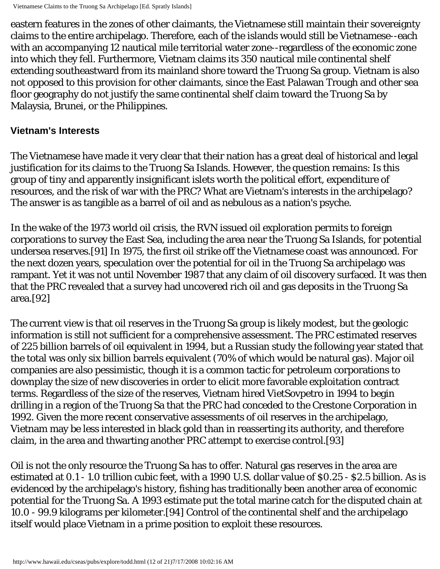eastern features in the zones of other claimants, the Vietnamese still maintain their sovereignty claims to the entire archipelago. Therefore, each of the islands would still be Vietnamese--each with an accompanying 12 nautical mile territorial water zone--regardless of the economic zone into which they fell. Furthermore, Vietnam claims its 350 nautical mile continental shelf extending southeastward from its mainland shore toward the Truong Sa group. Vietnam is also not opposed to this provision for other claimants, since the East Palawan Trough and other sea floor geography do not justify the same continental shelf claim toward the Truong Sa by Malaysia, Brunei, or the Philippines.

#### **Vietnam's Interests**

The Vietnamese have made it very clear that their nation has a great deal of historical and legal justification for its claims to the Truong Sa Islands. However, the question remains: Is this group of tiny and apparently insignificant islets worth the political effort, expenditure of resources, and the risk of war with the PRC? What are Vietnam's interests in the archipelago? The answer is as tangible as a barrel of oil and as nebulous as a nation's psyche.

In the wake of the 1973 world oil crisis, the RVN issued oil exploration permits to foreign corporations to survey the East Sea, including the area near the Truong Sa Islands, for potential undersea reserves.[91] In 1975, the first oil strike off the Vietnamese coast was announced. For the next dozen years, speculation over the potential for oil in the Truong Sa archipelago was rampant. Yet it was not until November 1987 that any claim of oil discovery surfaced. It was then that the PRC revealed that a survey had uncovered rich oil and gas deposits in the Truong Sa area.[92]

The current view is that oil reserves in the Truong Sa group is likely modest, but the geologic information is still not sufficient for a comprehensive assessment. The PRC estimated reserves of 225 billion barrels of oil equivalent in 1994, but a Russian study the following year stated that the total was only six billion barrels equivalent (70% of which would be natural gas). Major oil companies are also pessimistic, though it is a common tactic for petroleum corporations to downplay the size of new discoveries in order to elicit more favorable exploitation contract terms. Regardless of the size of the reserves, Vietnam hired VietSovpetro in 1994 to begin drilling in a region of the Truong Sa that the PRC had conceded to the Crestone Corporation in 1992. Given the more recent conservative assessments of oil reserves in the archipelago, Vietnam may be less interested in black gold than in reasserting its authority, and therefore claim, in the area and thwarting another PRC attempt to exercise control.[93]

Oil is not the only resource the Truong Sa has to offer. Natural gas reserves in the area are estimated at 0.1 - 1.0 trillion cubic feet, with a 1990 U.S. dollar value of \$0.25 - \$2.5 billion. As is evidenced by the archipelago's history, fishing has traditionally been another area of economic potential for the Truong Sa. A 1993 estimate put the total marine catch for the disputed chain at 10.0 - 99.9 kilograms per kilometer.[94] Control of the continental shelf and the archipelago itself would place Vietnam in a prime position to exploit these resources.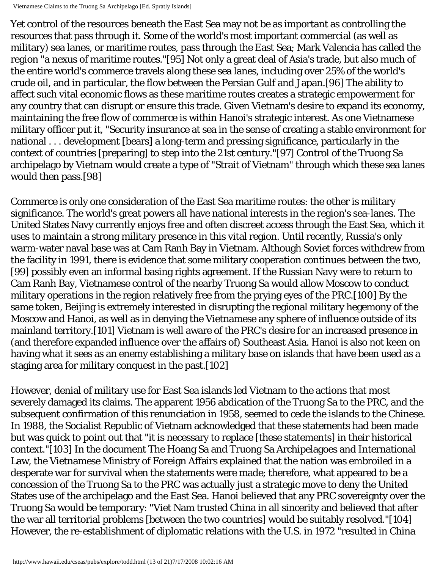Vietnamese Claims to the Truong Sa Archipelago [Ed. Spratly Islands]

Yet control of the resources beneath the East Sea may not be as important as controlling the resources that pass through it. Some of the world's most important commercial (as well as military) sea lanes, or maritime routes, pass through the East Sea; Mark Valencia has called the region "a nexus of maritime routes."[95] Not only a great deal of Asia's trade, but also much of the entire world's commerce travels along these sea lanes, including over 25% of the world's crude oil, and in particular, the flow between the Persian Gulf and Japan.[96] The ability to affect such vital economic flows as these maritime routes creates a strategic empowerment for any country that can disrupt or ensure this trade. Given Vietnam's desire to expand its economy, maintaining the free flow of commerce is within Hanoi's strategic interest. As one Vietnamese military officer put it, "Security insurance at sea in the sense of creating a stable environment for national . . . development [bears] a long-term and pressing significance, particularly in the context of countries [preparing] to step into the 21st century."[97] Control of the Truong Sa archipelago by Vietnam would create a type of "Strait of Vietnam" through which these sea lanes would then pass.[98]

Commerce is only one consideration of the East Sea maritime routes: the other is military significance. The world's great powers all have national interests in the region's sea-lanes. The United States Navy currently enjoys free and often discreet access through the East Sea, which it uses to maintain a strong military presence in this vital region. Until recently, Russia's only warm-water naval base was at Cam Ranh Bay in Vietnam. Although Soviet forces withdrew from the facility in 1991, there is evidence that some military cooperation continues between the two, [99] possibly even an informal basing rights agreement. If the Russian Navy were to return to Cam Ranh Bay, Vietnamese control of the nearby Truong Sa would allow Moscow to conduct military operations in the region relatively free from the prying eyes of the PRC.[100] By the same token, Beijing is extremely interested in disrupting the regional military hegemony of the Moscow and Hanoi, as well as in denying the Vietnamese any sphere of influence outside of its mainland territory.[101] Vietnam is well aware of the PRC's desire for an increased presence in (and therefore expanded influence over the affairs of) Southeast Asia. Hanoi is also not keen on having what it sees as an enemy establishing a military base on islands that have been used as a staging area for military conquest in the past.[102]

However, denial of military use for East Sea islands led Vietnam to the actions that most severely damaged its claims. The apparent 1956 abdication of the Truong Sa to the PRC, and the subsequent confirmation of this renunciation in 1958, seemed to cede the islands to the Chinese. In 1988, the Socialist Republic of Vietnam acknowledged that these statements had been made but was quick to point out that "it is necessary to replace [these statements] in their historical context."[103] In the document The Hoang Sa and Truong Sa Archipelagoes and International Law, the Vietnamese Ministry of Foreign Affairs explained that the nation was embroiled in a desperate war for survival when the statements were made; therefore, what appeared to be a concession of the Truong Sa to the PRC was actually just a strategic move to deny the United States use of the archipelago and the East Sea. Hanoi believed that any PRC sovereignty over the Truong Sa would be temporary: "Viet Nam trusted China in all sincerity and believed that after the war all territorial problems [between the two countries] would be suitably resolved."[104] However, the re-establishment of diplomatic relations with the U.S. in 1972 "resulted in China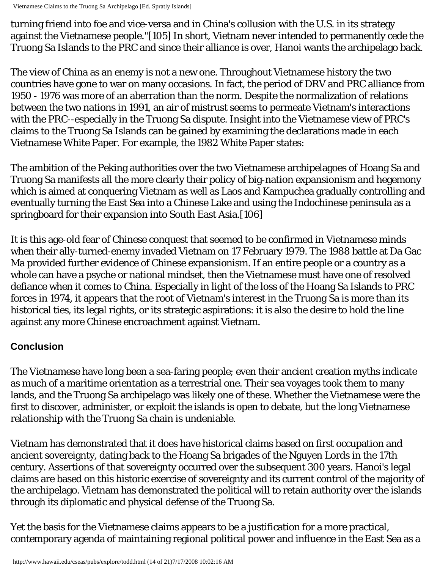Vietnamese Claims to the Truong Sa Archipelago [Ed. Spratly Islands]

turning friend into foe and vice-versa and in China's collusion with the U.S. in its strategy against the Vietnamese people."[105] In short, Vietnam never intended to permanently cede the Truong Sa Islands to the PRC and since their alliance is over, Hanoi wants the archipelago back.

The view of China as an enemy is not a new one. Throughout Vietnamese history the two countries have gone to war on many occasions. In fact, the period of DRV and PRC alliance from 1950 - 1976 was more of an aberration than the norm. Despite the normalization of relations between the two nations in 1991, an air of mistrust seems to permeate Vietnam's interactions with the PRC--especially in the Truong Sa dispute. Insight into the Vietnamese view of PRC's claims to the Truong Sa Islands can be gained by examining the declarations made in each Vietnamese White Paper. For example, the 1982 White Paper states:

The ambition of the Peking authorities over the two Vietnamese archipelagoes of Hoang Sa and Truong Sa manifests all the more clearly their policy of big-nation expansionism and hegemony which is aimed at conquering Vietnam as well as Laos and Kampuchea gradually controlling and eventually turning the East Sea into a Chinese Lake and using the Indochinese peninsula as a springboard for their expansion into South East Asia.[106]

It is this age-old fear of Chinese conquest that seemed to be confirmed in Vietnamese minds when their ally-turned-enemy invaded Vietnam on 17 February 1979. The 1988 battle at Da Gac Ma provided further evidence of Chinese expansionism. If an entire people or a country as a whole can have a psyche or national mindset, then the Vietnamese must have one of resolved defiance when it comes to China. Especially in light of the loss of the Hoang Sa Islands to PRC forces in 1974, it appears that the root of Vietnam's interest in the Truong Sa is more than its historical ties, its legal rights, or its strategic aspirations: it is also the desire to hold the line against any more Chinese encroachment against Vietnam.

# **Conclusion**

The Vietnamese have long been a sea-faring people; even their ancient creation myths indicate as much of a maritime orientation as a terrestrial one. Their sea voyages took them to many lands, and the Truong Sa archipelago was likely one of these. Whether the Vietnamese were the first to discover, administer, or exploit the islands is open to debate, but the long Vietnamese relationship with the Truong Sa chain is undeniable.

Vietnam has demonstrated that it does have historical claims based on first occupation and ancient sovereignty, dating back to the Hoang Sa brigades of the Nguyen Lords in the 17th century. Assertions of that sovereignty occurred over the subsequent 300 years. Hanoi's legal claims are based on this historic exercise of sovereignty and its current control of the majority of the archipelago. Vietnam has demonstrated the political will to retain authority over the islands through its diplomatic and physical defense of the Truong Sa.

Yet the basis for the Vietnamese claims appears to be a justification for a more practical, contemporary agenda of maintaining regional political power and influence in the East Sea as a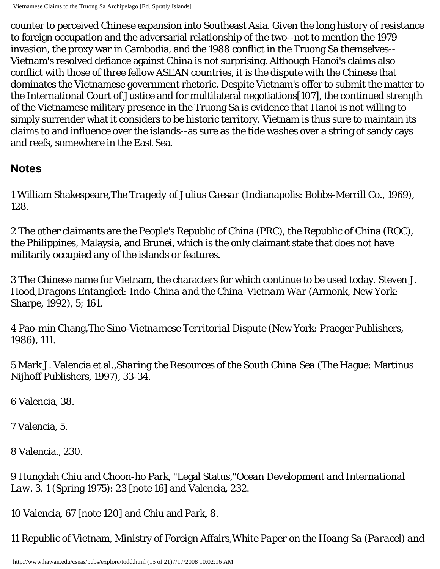counter to perceived Chinese expansion into Southeast Asia. Given the long history of resistance to foreign occupation and the adversarial relationship of the two--not to mention the 1979 invasion, the proxy war in Cambodia, and the 1988 conflict in the Truong Sa themselves-- Vietnam's resolved defiance against China is not surprising. Although Hanoi's claims also conflict with those of three fellow ASEAN countries, it is the dispute with the Chinese that dominates the Vietnamese government rhetoric. Despite Vietnam's offer to submit the matter to the International Court of Justice and for multilateral negotiations[107], the continued strength of the Vietnamese military presence in the Truong Sa is evidence that Hanoi is not willing to simply surrender what it considers to be historic territory. Vietnam is thus sure to maintain its claims to and influence over the islands--as sure as the tide washes over a string of sandy cays and reefs, somewhere in the East Sea.

# <span id="page-14-0"></span>**Notes**

1 William Shakespeare,*The Tragedy of Julius Caesar* (Indianapolis: Bobbs-Merrill Co., 1969), 128.

2 The other claimants are the People's Republic of China (PRC), the Republic of China (ROC), the Philippines, Malaysia, and Brunei, which is the only claimant state that does not have militarily occupied any of the islands or features.

3 The Chinese name for Vietnam, the characters for which continue to be used today. Steven J. Hood,*Dragons Entangled: Indo-China and the China-Vietnam War* (Armonk, New York: Sharpe, 1992), 5; 161.

4 Pao-min Chang,*The Sino-Vietnamese Territorial Dispute* (New York: Praeger Publishers, 1986), 111.

5 Mark J. Valencia et al.,*Sharing the Resources of the South China Sea* (The Hague: Martinus Nijhoff Publishers, 1997), 33-34.

6 Valencia, 38.

7 Valencia, 5.

8 Valencia., 230.

9 Hungdah Chiu and Choon-ho Park, "Legal Status,"*Ocean Development and International Law*. 3. 1 (Spring 1975): 23 [note 16] and Valencia, 232.

10 Valencia, 67 [note 120] and Chiu and Park, 8.

11 Republic of Vietnam, Ministry of Foreign Affairs,*White Paper on the Hoang Sa (Paracel) and*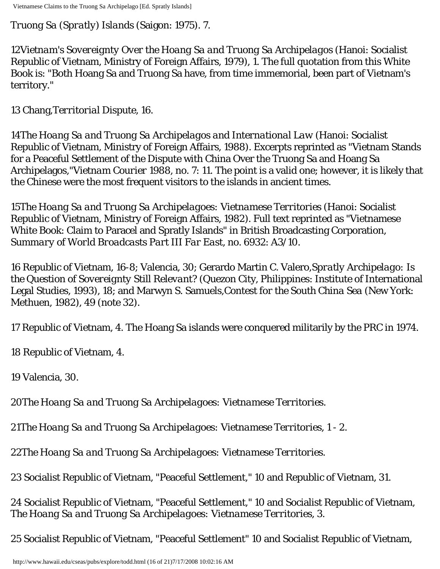*Truong Sa (Spratly) Islands* (Saigon: 1975). 7.

12*Vietnam's Sovereignty Over the Hoang Sa and Truong Sa Archipelagos* (Hanoi: Socialist Republic of Vietnam, Ministry of Foreign Affairs, 1979), 1. The full quotation from this White Book is: "Both Hoang Sa and Truong Sa have, from time immemorial, been part of Vietnam's territory."

13 Chang,*Territorial Dispute*, 16.

14*The Hoang Sa and Truong Sa Archipelagos and International Law* (Hanoi: Socialist Republic of Vietnam, Ministry of Foreign Affairs, 1988). Excerpts reprinted as "Vietnam Stands for a Peaceful Settlement of the Dispute with China Over the Truong Sa and Hoang Sa Archipelagos,"*Vietnam Courier* 1988, no. 7: 11. The point is a valid one; however, it is likely that the Chinese were the most frequent visitors to the islands in ancient times.

15*The Hoang Sa and Truong Sa Archipelagoes: Vietnamese Territories* (Hanoi: Socialist Republic of Vietnam, Ministry of Foreign Affairs, 1982). Full text reprinted as "Vietnamese White Book: Claim to Paracel and Spratly Islands" in British Broadcasting Corporation, *Summary of World Broadcasts Part III Far East*, no. 6932: A3/10.

16 Republic of Vietnam, 16-8; Valencia, 30; Gerardo Martin C. Valero,*Spratly Archipelago: Is the Question of Sovereignty Still Relevant?* (Quezon City, Philippines: Institute of International Legal Studies, 1993), 18; and Marwyn S. Samuels,*Contest for the South China Sea* (New York: Methuen, 1982), 49 (note 32).

17 Republic of Vietnam, 4. The Hoang Sa islands were conquered militarily by the PRC in 1974.

18 Republic of Vietnam, 4.

19 Valencia, 30.

20*The Hoang Sa and Truong Sa Archipelagoes: Vietnamese Territories*.

21*The Hoang Sa and Truong Sa Archipelagoes: Vietnamese Territories*, 1 - 2.

22*The Hoang Sa and Truong Sa Archipelagoes: Vietnamese Territories*.

23 Socialist Republic of Vietnam, "Peaceful Settlement," 10 and Republic of Vietnam, 31.

24 Socialist Republic of Vietnam, "Peaceful Settlement," 10 and Socialist Republic of Vietnam, *The Hoang Sa and Truong Sa Archipelagoes: Vietnamese Territories*, 3.

25 Socialist Republic of Vietnam, "Peaceful Settlement" 10 and Socialist Republic of Vietnam,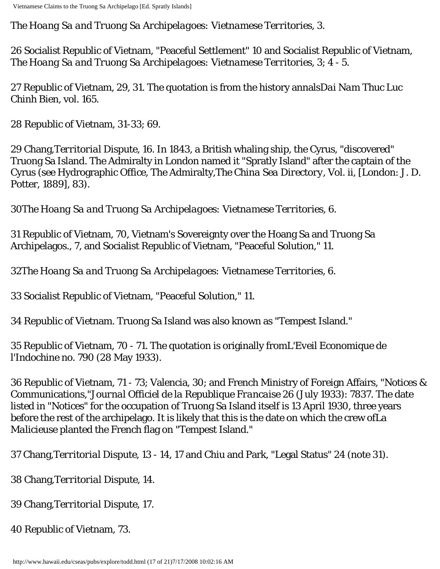*The Hoang Sa and Truong Sa Archipelagoes: Vietnamese Territories*, 3.

26 Socialist Republic of Vietnam, "Peaceful Settlement" 10 and Socialist Republic of Vietnam, *The Hoang Sa and Truong Sa Archipelagoes: Vietnamese Territories*, 3; 4 - 5.

27 Republic of Vietnam, 29, 31. The quotation is from the history annals*Dai Nam Thuc Luc Chinh Bien*, vol. 165.

28 Republic of Vietnam, 31-33; 69.

29 Chang,*Territorial Dispute*, 16. In 1843, a British whaling ship, the Cyrus, "discovered" Truong Sa Island. The Admiralty in London named it "Spratly Island" after the captain of the Cyrus (see Hydrographic Office, The Admiralty,*The China Sea Directory*, Vol. ii, [London: J. D. Potter, 1889], 83).

30*The Hoang Sa and Truong Sa Archipelagoes: Vietnamese Territories*, 6.

31 Republic of Vietnam, 70, Vietnam's Sovereignty over the Hoang Sa and Truong Sa Archipelagos., 7, and Socialist Republic of Vietnam, "Peaceful Solution," 11.

32*The Hoang Sa and Truong Sa Archipelagoes: Vietnamese Territories*, 6.

33 Socialist Republic of Vietnam, "Peaceful Solution," 11.

34 Republic of Vietnam. Truong Sa Island was also known as "Tempest Island."

35 Republic of Vietnam, 70 - 71. The quotation is originally from*L'Eveil Economique de l'Indochine* no. 790 (28 May 1933).

36 Republic of Vietnam, 71 - 73; Valencia, 30; and French Ministry of Foreign Affairs, "Notices & Communications,"*Journal Officiel de la Republique Francaise* 26 (July 1933): 7837. The date listed in "Notices" for the occupation of Truong Sa Island itself is 13 April 1930, three years before the rest of the archipelago. It is likely that this is the date on which the crew of*La Malicieuse* planted the French flag on "Tempest Island."

37 Chang,*Territorial Dispute*, 13 - 14, 17 and Chiu and Park, "Legal Status" 24 (note 31).

38 Chang,*Territorial Dispute*, 14.

39 Chang,*Territorial Dispute*, 17.

40 Republic of Vietnam, 73.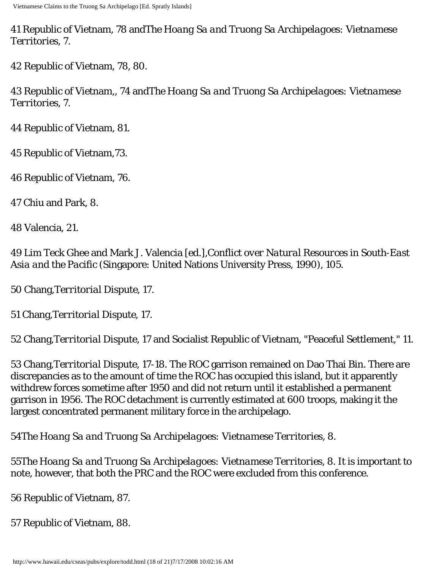41 Republic of Vietnam, 78 and*The Hoang Sa and Truong Sa Archipelagoes: Vietnamese Territories*, 7.

42 Republic of Vietnam, 78, 80.

43 Republic of Vietnam,, 74 and*The Hoang Sa and Truong Sa Archipelagoes: Vietnamese Territories*, 7.

44 Republic of Vietnam, 81.

45 Republic of Vietnam,73.

46 Republic of Vietnam, 76.

47 Chiu and Park, 8.

48 Valencia, 21.

49 Lim Teck Ghee and Mark J. Valencia [ed.],*Conflict over Natural Resources in South-East Asia and the Pacific* (Singapore: United Nations University Press, 1990), 105.

50 Chang,*Territorial Dispute*, 17.

51 Chang,*Territorial Dispute*, 17.

52 Chang,*Territorial Dispute*, 17 and Socialist Republic of Vietnam, "Peaceful Settlement," 11.

53 Chang,*Territorial Dispute*, 17-18. The ROC garrison remained on Dao Thai Bin. There are discrepancies as to the amount of time the ROC has occupied this island, but it apparently withdrew forces sometime after 1950 and did not return until it established a permanent garrison in 1956. The ROC detachment is currently estimated at 600 troops, making it the largest concentrated permanent military force in the archipelago.

54*The Hoang Sa and Truong Sa Archipelagoes: Vietnamese Territories*, 8.

55*The Hoang Sa and Truong Sa Archipelagoes: Vietnamese Territories*, 8. It is important to note, however, that both the PRC and the ROC were excluded from this conference.

56 Republic of Vietnam, 87.

57 Republic of Vietnam, 88.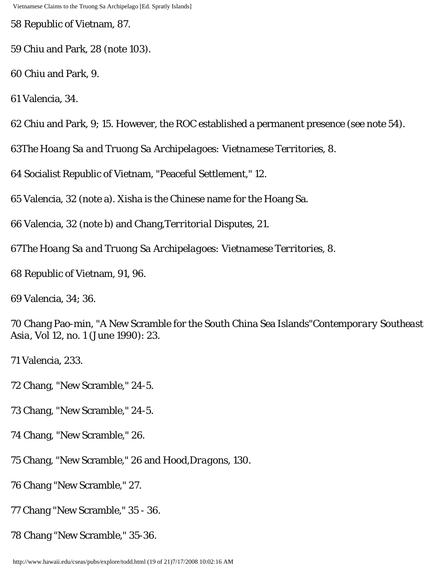58 Republic of Vietnam, 87.

59 Chiu and Park, 28 (note 103).

60 Chiu and Park, 9.

61 Valencia, 34.

62 Chiu and Park, 9; 15. However, the ROC established a permanent presence (see note 54).

63*The Hoang Sa and Truong Sa Archipelagoes: Vietnamese Territories*, 8.

64 Socialist Republic of Vietnam, "Peaceful Settlement," 12.

65 Valencia, 32 (note a). Xisha is the Chinese name for the Hoang Sa.

66 Valencia, 32 (note b) and Chang,*Territorial Disputes*, 21.

67*The Hoang Sa and Truong Sa Archipelagoes: Vietnamese Territories*, 8.

68 Republic of Vietnam, 91, 96.

69 Valencia, 34; 36.

70 Chang Pao-min, "A New Scramble for the South China Sea Islands"*Contemporary Southeast Asia*, Vol 12, no. 1 (June 1990): 23.

71 Valencia, 233.

72 Chang, "New Scramble," 24-5.

73 Chang, "New Scramble," 24-5.

74 Chang, "New Scramble," 26.

75 Chang, "New Scramble," 26 and Hood,*Dragons*, 130.

76 Chang "New Scramble," 27.

77 Chang "New Scramble," 35 - 36.

78 Chang "New Scramble," 35-36.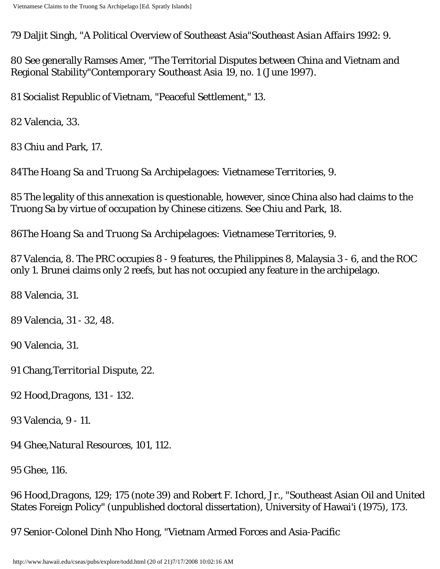79 Daljit Singh, "A Political Overview of Southeast Asia"*Southeast Asian Affairs* 1992: 9.

80 See generally Ramses Amer, "The Territorial Disputes between China and Vietnam and Regional Stability"*Contemporary Southeast Asia* 19, no. 1 (June 1997).

81 Socialist Republic of Vietnam, "Peaceful Settlement," 13.

82 Valencia, 33.

83 Chiu and Park, 17.

84*The Hoang Sa and Truong Sa Archipelagoes: Vietnamese Territories*, 9.

85 The legality of this annexation is questionable, however, since China also had claims to the Truong Sa by virtue of occupation by Chinese citizens. See Chiu and Park, 18.

86*The Hoang Sa and Truong Sa Archipelagoes: Vietnamese Territories*, 9.

87 Valencia, 8. The PRC occupies 8 - 9 features, the Philippines 8, Malaysia 3 - 6, and the ROC only 1. Brunei claims only 2 reefs, but has not occupied any feature in the archipelago.

88 Valencia, 31.

89 Valencia, 31 - 32, 48.

90 Valencia, 31.

91 Chang,*Territorial Dispute*, 22.

92 Hood,*Dragons*, 131 - 132.

93 Valencia, 9 - 11.

94 Ghee,*Natural Resources*, 101, 112.

95 Ghee, 116.

96 Hood,*Dragons*, 129; 175 (note 39) and Robert F. Ichord, Jr., "Southeast Asian Oil and United States Foreign Policy" (unpublished doctoral dissertation), University of Hawai'i (1975), 173.

97 Senior-Colonel Dinh Nho Hong, "Vietnam Armed Forces and Asia-Pacific